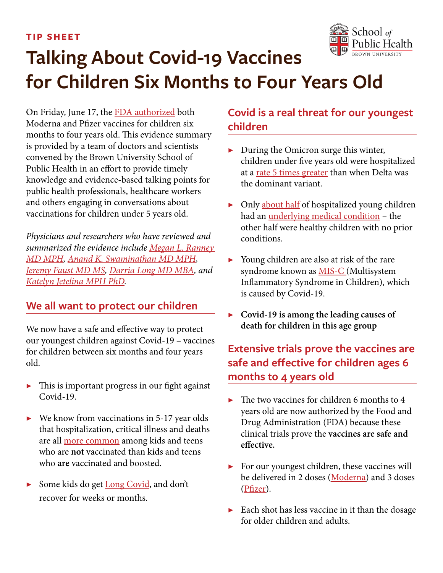**TIP SHEET**



# **Talking About Covid-19 Vaccines for Children Six Months to Four Years Old**

On Friday, June 17, the [FDA authorized](https://www.fda.gov/news-events/press-announcements/coronavirus-covid-19-update-fda-authorizes-moderna-and-pfizer-biontech-covid-19-vaccines-children) both Moderna and Pfizer vaccines for children six months to four years old. This evidence summary is provided by a team of doctors and scientists convened by the Brown University School of Public Health in an effort to provide timely knowledge and evidence-based talking points for public health professionals, healthcare workers and others engaging in conversations about vaccinations for children under 5 years old.

*Physicians and researchers who have reviewed and summarized the evidence include [Megan L. Ranney](https://vivo.brown.edu/display/mranney)  [MD MPH,](https://vivo.brown.edu/display/mranney) [Anand K. Swaminathan MD MPH,](https://www.emedevents.com/speaker-profile/anand-k-swaminathan) [Jeremy Faust MD MS](https://www.health.harvard.edu/author/jeremy-samuel-faust-md-ms), [Darria Long MD MBA](https://drdarria.com/), and [Katelyn Jetelina MPH PhD.](https://yourlocalepidemiologist.substack.com/about)*

#### **We all want to protect our children**

We now have a safe and effective way to protect our youngest children against Covid-19 – vaccines for children between six months and four years old.

- $\triangleright$  This is important progress in our fight against Covid-19.
- ▶ We know from vaccinations in 5-17 year olds that hospitalization, critical illness and deaths are all [more common](https://www.nejm.org/doi/full/10.1056/NEJMoa2202826) among kids and teens who are **not** vaccinated than kids and teens who **are** vaccinated and boosted.
- ▶ Some kids do get **Long Covid**, and don't recover for weeks or months.

### **Covid is a real threat for our youngest children**

- ▶ During the Omicron surge this winter, children under five years old were hospitalized at a [rate 5 times greater](https://www.cdc.gov/mmwr/volumes/71/wr/mm7111e2.htm) than when Delta was the dominant variant.
- ▶ Only a[bout half](https://www.cdc.gov/mmwr/volumes/71/wr/mm7111e2.htm) of hospitalized young children had an [underlying medical condition](https://covid.cdc.gov/covid-data-tracker/#covidnet-hospitalization-network) – the other half were healthy children with no prior conditions.
- ▶ Young children are also at risk of the rare syndrome known as [MIS-C \(](https://www.cdc.gov/mis/mis-c.html)Multisystem Inflammatory Syndrome in Children), which is caused by Covid-19.
- ▶ **Covid-19 is among the leading causes of death for children in this age group**

### **Extensive trials prove the vaccines are safe and effective for children ages 6 months to 4 years old**

- The two vaccines for children 6 months to 4 years old are now authorized by the Food and Drug Administration (FDA) because these clinical trials prove the **vaccines are safe and effective.**
- ▶ For our youngest children, these vaccines will be delivered in 2 doses ([Moderna\)](https://www.fda.gov/media/159157/download) and 3 doses [\(Pfizer](https://www.fda.gov/media/159195/download)).
- $\triangleright$  Each shot has less vaccine in it than the dosage for older children and adults.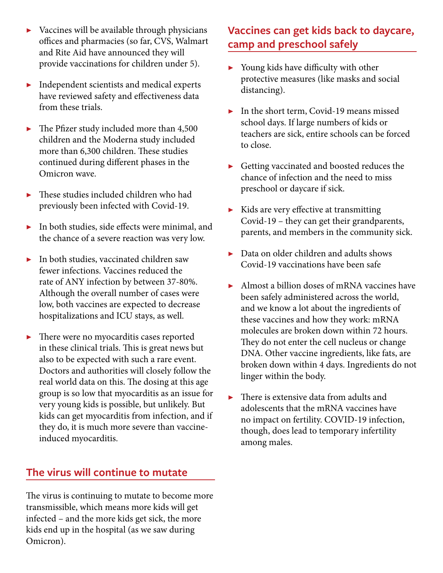- ▶ Vaccines will be available through physicians offices and pharmacies (so far, CVS, Walmart and Rite Aid have announced they will provide vaccinations for children under 5).
- ▶ Independent scientists and medical experts have reviewed safety and effectiveness data from these trials.
- ▶ The Pfizer study included more than 4,500 children and the Moderna study included more than 6,300 children. These studies continued during different phases in the Omicron wave.
- $\blacktriangleright$  These studies included children who had previously been infected with Covid-19.
- ▶ In both studies, side effects were minimal, and the chance of a severe reaction was very low.
- $\blacktriangleright$  In both studies, vaccinated children saw fewer infections. Vaccines reduced the rate of ANY infection by between 37-80%. Although the overall number of cases were low, both vaccines are expected to decrease hospitalizations and ICU stays, as well.
- ▶ There were no myocarditis cases reported in these clinical trials. This is great news but also to be expected with such a rare event. Doctors and authorities will closely follow the real world data on this. The dosing at this age group is so low that myocarditis as an issue for very young kids is possible, but unlikely. But kids can get myocarditis from infection, and if they do, it is much more severe than vaccineinduced myocarditis.

#### **The virus will continue to mutate**

The virus is continuing to mutate to become more transmissible, which means more kids will get infected – and the more kids get sick, the more kids end up in the hospital (as we saw during Omicron).

#### **Vaccines can get kids back to daycare, camp and preschool safely**

- ▶ Young kids have difficulty with other protective measures (like masks and social distancing).
- $\blacktriangleright$  In the short term, Covid-19 means missed school days. If large numbers of kids or teachers are sick, entire schools can be forced to close.
- ▶ Getting vaccinated and boosted reduces the chance of infection and the need to miss preschool or daycare if sick.
- ▶ Kids are very effective at transmitting Covid-19 – they can get their grandparents, parents, and members in the community sick.
- ▶ Data on older children and adults shows Covid-19 vaccinations have been safe
- ▶ Almost a billion doses of mRNA vaccines have been safely administered across the world, and we know a lot about the ingredients of these vaccines and how they work: mRNA molecules are broken down within 72 hours. They do not enter the cell nucleus or change DNA. Other vaccine ingredients, like fats, are broken down within 4 days. Ingredients do not linger within the body.
- $\blacktriangleright$  There is extensive data from adults and adolescents that the mRNA vaccines have no impact on fertility. COVID-19 infection, though, does lead to temporary infertility among males.